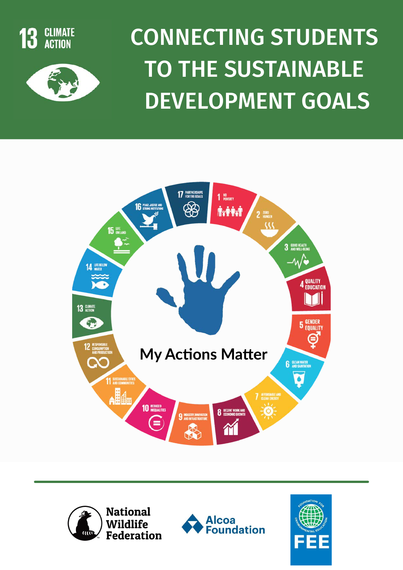



# CONNECTING STUDENTS TO THE SUSTAINABLE DEVELOPMENT GOALS







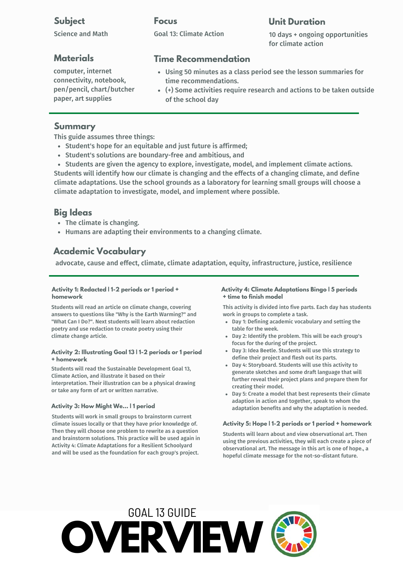#### **Subject**

Science and Math

#### **Materials**

computer, internet connectivity, notebook, pen/pencil, chart/butcher paper, art supplies

#### **Focus**

#### **Unit Duration**

Goal 13: Climate Action

10 days + ongoing opportunities for climate action

#### **Time Recommendation**

- Using 50 minutes as a class period see the lesson summaries for time recommendations.
- (+) Some activities require research and actions to be taken outside of the school day

#### **Summary**

This guide assumes three things:

- Student's hope for an equitable and just future is affirmed;
- Student's solutions are boundary-free and ambitious, and
- Students are given the agency to explore, investigate, model, and implement climate actions.

Students will identify how our climate is changing and the effects of a changing climate, and define climate adaptations. Use the school grounds as a laboratory for learning small groups will choose a climate adaptation to investigate, model, and implement where possible.

#### **Big Ideas**

- The climate is changing.
- Humans are adapting their environments to a changing climate.

#### **Academic Vocabulary**

advocate, cause and effect, climate, climate adaptation, equity, infrastructure, justice, resilience

#### **Activity 1: Redacted | 1-2 periods or 1 period + homework**

Students will read an article on climate change, covering answers to questions like "Why is the Earth Warming?" and "What Can I Do?". Next students will learn about redaction poetry and use redaction to create poetry using their climate change article.

#### **Activity 2: Illustrating Goal 13 | 1-2 periods or 1 period + homework**

Students will read the Sustainable Development Goal 13, Climate Action, and illustrate it based on their interpretation. Their illustration can be a physical drawing or take any form of art or written narrative.

#### **Activity 3: How Might We... | 1 period**

Students will work in small groups to brainstorm current climate issues locally or that they have prior knowledge of. Then they will choose one problem to rewrite as a question and brainstorm solutions. This practice will be used again in Activity 4: Climate Adaptations for a Resilient Schoolyard and will be used as the foundation for each group's project.

#### **Activity 4: Climate Adaptations Bingo | 5 periods + time to finish model**

This activity is divided into five parts. Each day has students work in groups to complete a task.

- Day 1: Defining academic vocabulary and setting the table for the week.
- Day 2: Identify the problem. This will be each group's focus for the during of the project.
- Day 3: Idea Beetle. Students will use this strategy to define their project and flesh out its parts.
- Day 4: Storyboard. Students will use this activity to generate sketches and some draft language that will further reveal their project plans and prepare them for creating their model.
- Day 5: Create a model that best represents their climate adaption in action and together, speak to whom the adaptation benefits and why the adaptation is needed.

#### **Activity 5: Hope | 1-2 periods or 1 period + homework**

Students will learn about and view observational art. Then using the previous activities, they will each create a piece of observational art. The message in this art is one of hope., a hopeful climate message for the not-so-distant future.

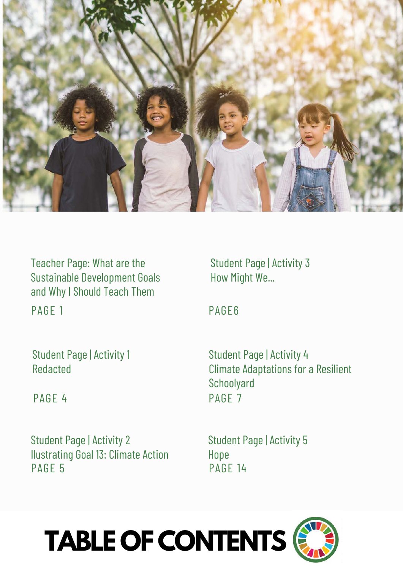

Teacher Page: What are the Sustainable Development Goals and Why I Should Teach Them PAGE 1

Student Page | Activity 1 Redacted

PAGE 4

Student Page | Activity 2 Ilustrating Goal 13: Climate Action PAGE 5

Student Page | Activity 3 How Might We...

PAGE6

Student Page | Activity 4 Climate Adaptations for a Resilient **Schoolyard** PAGF<sub>7</sub>

Student Page | Activity 5 Hope PAGE 14



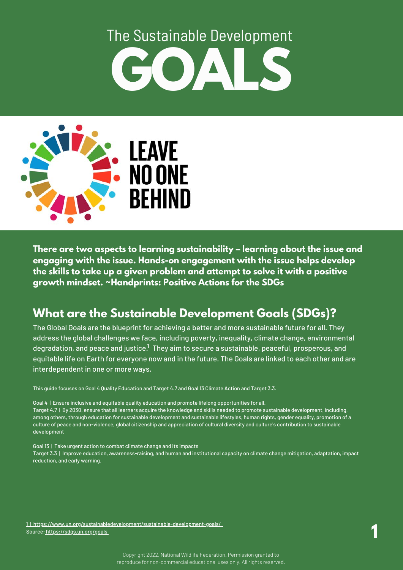# **GOALS** The Sustainable Development



**There are two aspects to learning sustainability – learning about the issue and engaging with the issue. Hands-on engagement with the issue helps develop the skills to take up a given problem and attempt to solve it with a positive growth mindset. ~Handprints: Positive Actions for the SDGs**

## **What are the Sustainable Development Goals (SDGs)?**

The Global Goals are the blueprint for achieving a better and more sustainable future for all. They address the global challenges we face, including poverty, inequality, climate change, environmental degradation, and peace and justice. $^{\rm 1}$  They aim to secure a sustainable, peaceful, prosperous, and equitable life on Earth for everyone now and in the future. The Goals are linked to each other and are interdependent in one or more ways.

This guide focuses on Goal 4 Quality Education and Target 4.7 and Goal 13 Climate Action and Target 3.3.

Goal 4 | Ensure inclusive and equitable quality education and promote lifelong opportunities for all. Target 4.7 | By 2030, ensure that all learners acquire the knowledge and skills needed to promote sustainable development, including, among others, through education for sustainable development and sustainable lifestyles, human rights, gender equality, promotion of a culture of peace and non-violence, global citizenship and appreciation of cultural diversity and culture's contribution to sustainable development

Goal 13 | Take urgent action to combat climate change and its impacts Target 3.3 | Improve education, awareness-raising, and human and institutional capacity on climate change mitigation, adaptation, impact reduction, and early warning.

[1 | https://www.un.org/sustainabledevelopment/sustainable-development-goals/](https://www.un.org/sustainabledevelopment/sustainable-development-goals/)  <u>Source: [https://sdgs.un.org/goals](https://en.unesco.org/themes/education/sdgs/material)</u> **12.1 million and the contract of the contract of the contract of the contract of the contract of the contract of the contract of the contract of the contract of the contract of the cont**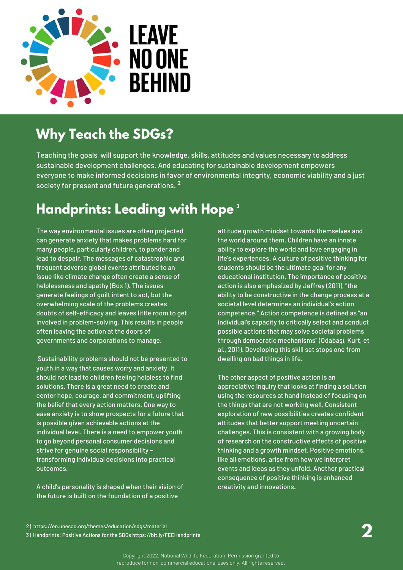

## **Why Teach the SDGs?**

Teaching the goals will support the knowledge, skills, attitudes and values necessary to address sustainable development challenges. And educating for sustainable development empowers everyone to make informed decisions in favor of environmental integrity, economic viability and a just society for present and future generations.<sup>2</sup>

## **Handprints: Leading with Hope** 3

The way environmental issues are often projected can generate anxiety that makes problems hard for many people, particularly children, to ponder and lead to despair. The messages of catastrophic and frequent adverse global events attributed to an issue like climate change often create a sense of helplessness and apathy (Box 1). The issues generate feelings of guilt intent to act, but the overwhelming scale of the problems creates doubts of self-efficacy and leaves little room to get involved in problem-solving. This results in people often leaving the action at the doors of governments and corporations to manage.

Sustainability problems should not be presented to youth in a way that causes worry and anxiety. It should not lead to children feeling helpless to find solutions. There is a great need to create and center hope, courage, and commitment, uplifting the belief that every action matters. One way to ease anxiety is to show prospects for a future that is possible given achievable actions at the individual level. There is a need to empower youth to go beyond personal consumer decisions and strive for genuine social responsibility – transforming individual decisions into practical outcomes.

A child's personality is shaped when their vision of the future is built on the foundation of a positive

attitude growth mindset towards themselves and the world around them. Children have an innate ability to explore the world and love engaging in life's experiences. A culture of positive thinking for students should be the ultimate goal for any educational institution. The importance of positive action is also emphasized by Jeffrey (2011), "the ability to be constructive in the change process at a societal level determines an individual's action competence." Action competence is defined as "an individual's capacity to critically select and conduct possible actions that may solve societal problems through democratic mechanisms" (Odabaşı, Kurt, et al., 2011). Developing this skill set stops one from dwelling on bad things in life.

The other aspect of positive action is an appreciative inquiry that looks at finding a solution using the resources at hand instead of focusing on the things that are not working well. Consistent exploration of new possibilities creates confident attitudes that better support meeting uncertain challenges. This is consistent with a growing body of research on the constructive effects of positive thinking and a growth mindset. Positive emotions, like all emotions, arise from how we interpret events and ideas as they unfold. Another practical consequence of positive thinking is enhanced creativity and innovations.

[2 | https://en.unesco.org/themes/education/sdgs/material](https://en.unesco.org/themes/education/sdgs/material) **2** [3 | Handprints: Positive Actions for the SDGs https://bit.ly/FEEHandprints](https://bit.ly/FEEHandprints)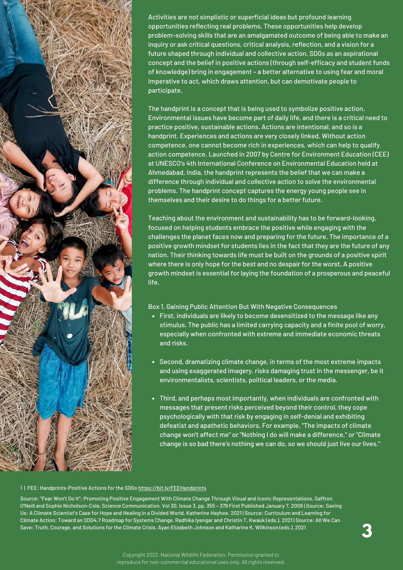

Activities are not simplistic or superficial ideas but profound learning opportunities reflecting real problems. These opportunities help develop problem-solving skills that are an amalgamated outcome of being able to make an inquiry or ask critical questions, critical analysis, reflection, and a vision for a future shaped through individual and collective action. SDGs as an aspirational concept and the belief in positive actions (through self-efficacy and student funds of knowledge) bring in engagement – a better alternative to using fear and moral imperative to act, which draws attention, but can demotivate people to participate.

The handprint is a concept that is being used to symbolize positive action. Environmental issues have become part of daily life, and there is a critical need to practice positive, sustainable actions. Actions are intentional, and so is a handprint. Experiences and actions are very closely linked. Without action competence, one cannot become rich in experiences, which can help to qualify action competence. Launched in 2007 by Centre for Environment Education (CEE) at UNESCO's 4th International Conference on Environmental Education held at Ahmedabad, India, the handprint represents the belief that we can make a difference through individual and collective action to solve the environmental problems. The handprint concept captures the energy young people see in themselves and their desire to do things for a better future.

Teaching about the environment and sustainability has to be forward-looking, focused on helping students embrace the positive while engaging with the challenges the planet faces now and preparing for the future. The importance of a positive growth mindset for students lies in the fact that they are the future of any nation. Their thinking towards life must be built on the grounds of a positive spirit where there is only hope for the best and no despair for the worst. A positive growth mindset is essential for laying the foundation of a prosperous and peaceful life.

Box 1. Gaining Public Attention But With Negative Consequences

- First, individuals are likely to become desensitized to the message like any stimulus. The public has a limited carrying capacity and a finite pool of worry, especially when confronted with extreme and immediate economic threats and risks.
- Second, dramatizing climate change, in terms of the most extreme impacts and using exaggerated imagery, risks damaging trust in the messenger, be it environmentalists, scientists, political leaders, or the media.
- Third, and perhaps most importantly, when individuals are confronted with messages that present risks perceived beyond their control, they cope psychologically with that risk by engaging in self-denial and exhibiting defeatist and apathetic behaviors. For example, "The impacts of climate change won't affect me" or "Nothing I do will make a difference," or "Climate change is so bad there's nothing we can do, so we should just live our lives."

#### [1 | F](https://www.un.org/sustainabledevelopment/sustainable-development-goals/)EE: Handprints-Positive Actions for the SDGs <https://bit.ly/FEEHandprints>

Source: "Fear Won't Do It": Promoting Positive Engagement With Climate Change Through Visual and Iconic Representations, Saffron [O'Neill and Sophie Nicholson-Cole, Science Communication, Vol 30, Issue 3, pp. 355 – 379 First Published January 7, 2009 | Source: Sav](https://en.unesco.org/themes/education/sdgs/material)ing Us: A Climate Scientist's Case for Hope and Healing in a Divided World. Katherine Hayhoe. 2021 | Source: Curriculum and Learning for Climate Action: Toward an SDG4.7 Roadmap for Systems Change. Radhika Iyengar and Christin T. Kwauk (eds.). 2021 | Source: All We Can Save: Truth, Courage, and Solutions for the Climate Crisis. Ayan Elizabeth Johnson and Katharine K. Wilkinson (eds.). 2021 **3**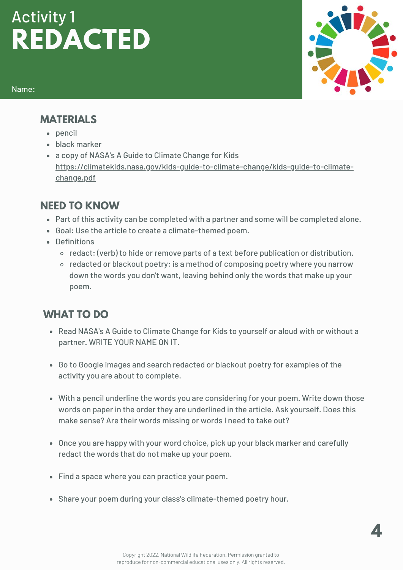# **REDACTED** Activity 1

Name:



#### **MATERIALS**

- pencil
- black marker
- a copy of NASA's A Guide to Climate Change for Kids [https://climatekids.nasa.gov/kids-guide-to-climate-change/kids-guide-to-climate](https://climatekids.nasa.gov/kids-guide-to-climate-change/kids-guide-to-climate-change.pdf)change.pdf

## **NEED TO KNOW**

- Part of this activity can be completed with a partner and some will be completed alone.
- Goal: Use the article to create a climate-themed poem.
- Definitions
	- $\circ$  redact: (verb) to hide or remove parts of a text before publication or distribution.
	- o redacted or blackout poetry: is a method of composing poetry where you narrow down the words you don't want, leaving behind only the words that make up your poem.

- Read NASA's A Guide to Climate Change for Kids to yourself or aloud with or without a partner. WRITE YOUR NAME ON IT.
- Go to Google images and search redacted or blackout poetry for examples of the activity you are about to complete.
- With a pencil underline the words you are considering for your poem. Write down those words on paper in the order they are underlined in the article. Ask yourself. Does this make sense? Are their words missing or words I need to take out?
- Once you are happy with your word choice, pick up your black marker and carefully redact the words that do not make up your poem.
- Find a space where you can practice your poem.
- Share your poem during your class's climate-themed poetry hour.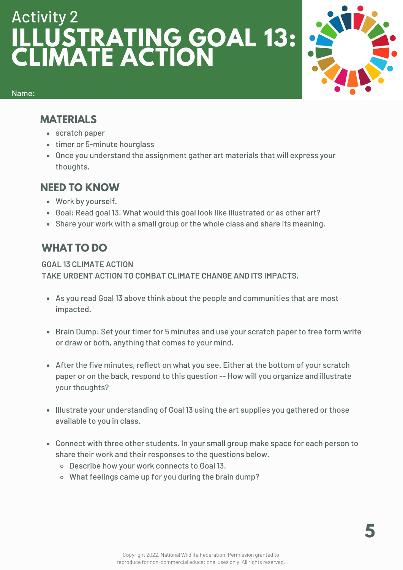# **ILLUSTRATING GOAL 13: CLIMATE ACTION** Activity 2



Name:

#### **MATERIALS**

- scratch paper
- timer or 5-minute hourglass
- Once you understand the assignment gather art materials that will express your thoughts.

#### **NEED TO KNOW**

- Work by yourself.
- Goal: Read goal 13. What would this goal look like illustrated or as other art?
- Share your work with a small group or the whole class and share its meaning.

## **WHAT TO DO**

**GOAL 13 CLIMATE ACTION TAKE URGENT ACTION TO COMBAT CLIMATE CHANGE AND ITS IMPACTS.**

- As you read Goal 13 above think about the people and communities that are most impacted.
- Brain Dump: Set your timer for 5 minutes and use your scratch paper to free form write or draw or both, anything that comes to your mind.
- After the five minutes, reflect on what you see. Either at the bottom of your scratch paper or on the back, respond to this question -- How will you organize and illustrate your thoughts?
- Illustrate your understanding of Goal 13 using the art supplies you gathered or those available to you in class.
- Connect with three other students. In your small group make space for each person to share their work and their responses to the questions below.
	- Describe how your work connects to Goal 13.
	- What feelings came up for you during the brain dump?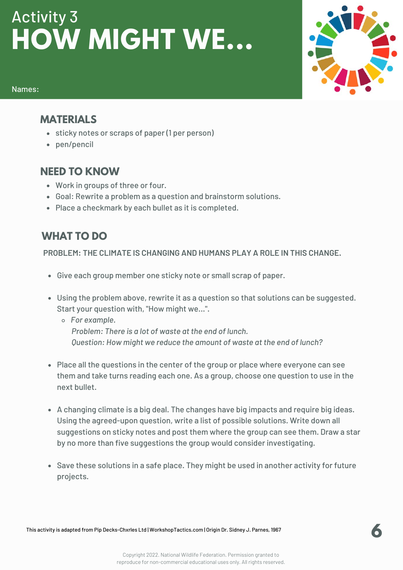# **HOW MIGHT WE...** Activity 3



#### Names:

#### **MATERIALS**

- sticky notes or scraps of paper (1 per person)
- pen/pencil

### **NEED TO KNOW**

- Work in groups of three or four.
- Goal: Rewrite a problem as a question and brainstorm solutions.
- Place a checkmark by each bullet as it is completed.

## **WHAT TO DO**

**PROBLEM: THE CLIMATE IS CHANGING AND HUMANS PLAY A ROLE IN THIS CHANGE.**

- Give each group member one sticky note or small scrap of paper.
- Using the problem above, rewrite it as a question so that solutions can be suggested. Start your question with, "How might we...".
	- *For example. Problem: There is a lot of waste at the end of lunch. Question: How might we reduce the amount of waste at the end of lunch?*
- Place all the questions in the center of the group or place where everyone can see them and take turns reading each one. As a group, choose one question to use in the next bullet.
- A changing climate is a big deal. The changes have big impacts and require big ideas. Using the agreed-upon question, write a list of possible solutions. Write down all suggestions on sticky notes and post them where the group can see them. Draw a star by no more than five suggestions the group would consider investigating.
- Save these solutions in a safe place. They might be used in another activity for future projects.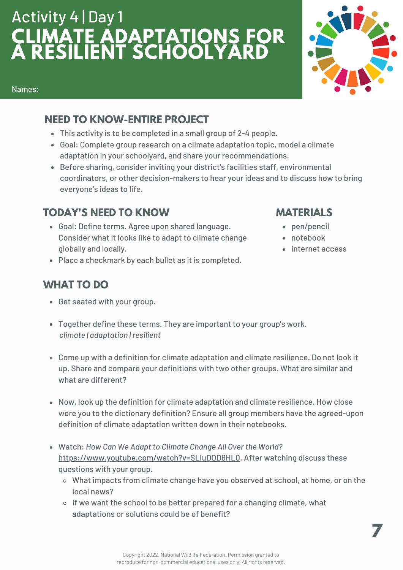# **CLIMATE ADAPTATIONS FOR A RESILIENT SCHOOLYARD** Activity 4 | Day 1



#### Names:

## **NEED TO KNOW-ENTIRE PROJECT**

- This activity is to be completed in a small group of 2-4 people.
- Goal: Complete group research on a climate adaptation topic, model a climate adaptation in your schoolyard, and share your recommendations.
- Before sharing, consider inviting your district's facilities staff, environmental coordinators, or other decision-makers to hear your ideas and to discuss how to bring everyone's ideas to life.

## **TODAY'S NEED TO KNOW**

- Goal: Define terms. Agree upon shared language. Consider what it looks like to adapt to climate change globally and locally.
- Place a checkmark by each bullet as it is completed.

## **WHAT TO DO**

- Get seated with your group.
- Together define these terms. They are important to your group's work. *climate | adaptation | resilient*
- Come up with a definition for climate adaptation and climate resilience. Do not look it up. Share and compare your definitions with two other groups. What are similar and what are different?
- Now, look up the definition for climate adaptation and climate resilience. How close were you to the dictionary definition? Ensure all group members have the agreed-upon definition of climate adaptation written down in their notebooks.
- Watch: *How Can We Adapt to Climate Change All Over the World?* [https://www.youtube.com/watch?v=SLIuDOD8HL0.](https://www.youtube.com/watch?v=SLIuDOD8HL0) After watching discuss these questions with your group.
	- What impacts from climate change have you observed at school, at home, or on the local news?
	- $\circ$  If we want the school to be better prepared for a changing climate, what adaptations or solutions could be of benefit?

## **MATERIALS**

- pen/pencil
- notebook
- internet access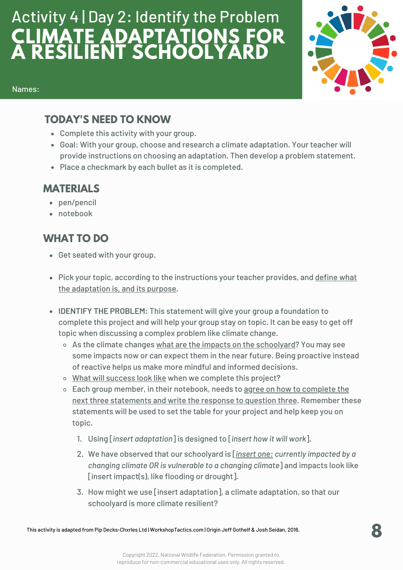## **CLIMATE ADAPTATIONS FOR A RESILIENT SCHOOLYARD** Activity 4 | Day 2: Identify the Problem



#### Names:

#### **TODAY'S NEED TO KNOW**

- Complete this activity with your group.
- Goal: With your group, choose and research a climate adaptation. Your teacher will provide instructions on choosing an adaptation. Then develop a problem statement.
- Place a checkmark by each bullet as it is completed.

### **MATERIALS**

- pen/pencil
- notebook

- Get seated with your group.
- Pick your topic, according to the instructions your teacher provides, and define what the adaptation is, and its purpose.
- **IDENTIFY THE PROBLEM**: This statement will give your group a foundation to complete this project and will help your group stay on topic. It can be easy to get off topic when discussing a complex problem like climate change.
	- o As the climate changes what are the impacts on the schoolyard? You may see some impacts now or can expect them in the near future. Being proactive instead of reactive helps us make more mindful and informed decisions.
	- o What will success look like when we complete this project?
	- Each group member, in their notebook, needs to agree on how to complete the next three statements and write the response to question three. Remember these statements will be used to set the table for your project and help keep you on topic.
		- Using [*insert adaptation*] is designed to [*insert how it will work*]. 1.
		- We have observed that our schoolyard is [*insert one: currently impacted by a* 2. *changing climate OR is vulnerable to a changing climate*] and impacts look like [insert impact(s), like flooding or drought].
		- 3. How might we use [insert adaptation], a climate adaptation, so that our schoolyard is more climate resilient?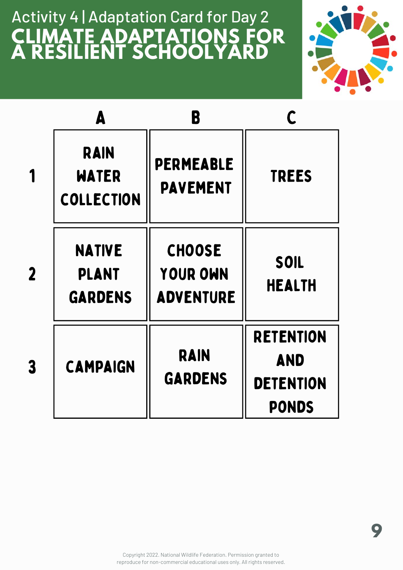# **CLIMATE ADAPTATIONS FOR A RESILIENT SCHOOLYARD** Activity 4 | Adaptation Card for Day 2



|                  | Δ                                               | B                                                    |                                                                    |
|------------------|-------------------------------------------------|------------------------------------------------------|--------------------------------------------------------------------|
|                  | <b>RAIN</b><br><b>WATER</b><br>COLLECTION       | <b>PERMEABLE</b><br><b>PAVEMENT</b>                  | <b>TREES</b>                                                       |
| $\boldsymbol{2}$ | <b>NATIVE</b><br><b>PLANT</b><br><b>GARDENS</b> | <b>CHOOSE</b><br><b>YOUR OWN</b><br><b>ADVENTURE</b> | SOIL<br><b>HEALTH</b>                                              |
| 3                | <b>CAMPAIGN</b>                                 | <b>RAIN</b><br><b>GARDENS</b>                        | <b>RETENTION</b><br><b>AND</b><br><b>DETENTION</b><br><b>PONDS</b> |

Copyright 2022. National Wildlife Federation. Permission granted to reproduce for non-commercial educational uses only. All rights reserved.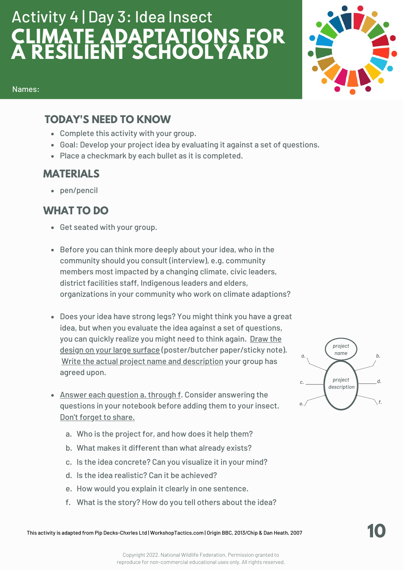# **CLIMATE ADAPTATIONS FOR A RESILIENT SCHOOLYARD** Activity 4 | Day 3: Idea Insect



#### Names:

#### **TODAY'S NEED TO KNOW**

- Complete this activity with your group.
- Goal: Develop your project idea by evaluating it against a set of questions.
- Place a checkmark by each bullet as it is completed.

#### **MATERIALS**

pen/pencil

- Get seated with your group.
- Before you can think more deeply about your idea, who in the community should you consult (interview), e.g. community members most impacted by a changing climate, civic leaders, district facilities staff, Indigenous leaders and elders, organizations in your community who work on climate adaptions?
- Does your idea have strong legs? You might think you have a great idea, but when you evaluate the idea against a set of questions, you can quickly realize you might need to think again. Draw the design on your large surface (poster/butcher paper/sticky note). Write the actual project name and description your group has agreed upon.
- Answer each question a. through f. Consider answering the questions in your notebook before adding them to your insect. Don't forget to share.
	- Who is the project for, and how does it help them? a.
	- What makes it different than what already exists? b.
	- c. Is the idea concrete? Can you visualize it in your mind?
	- d. Is the idea realistic? Can it be achieved?
	- e. How would you explain it clearly in one sentence.
	- f. What is the story? How do you tell others about the idea?

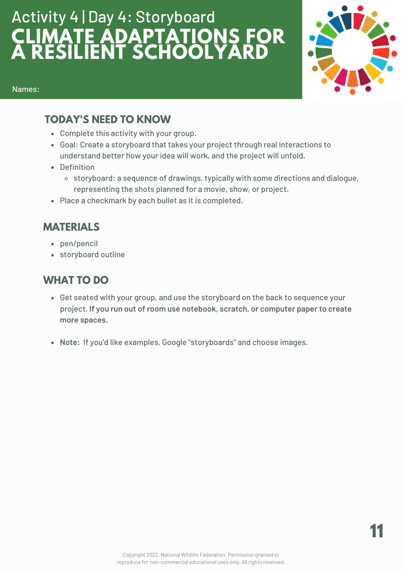# **CLIMATE ADAPTATIONS FOR A RESILIENT SCHOOLYARD** Activity 4 | Day 4: Storyboard



#### Names:

#### **TODAY'S NEED TO KNOW**

- Complete this activity with your group.
- Goal: Create a storyboard that takes your project through real interactions to understand better how your idea will work, and the project will unfold.
- Definition
	- storyboard: a sequence of drawings, typically with some directions and dialogue, representing the shots planned for a movie, show, or project.
- Place a checkmark by each bullet as it is completed.

## **MATERIALS**

- pen/pencil
- storyboard outline

- Get seated with your group, and use the storyboard on the back to sequence your project. **If you run out of room use notebook, scratch, or computer paper to create more spaces.**
- **Note:** If you'd like examples, Google "storyboards" and choose images.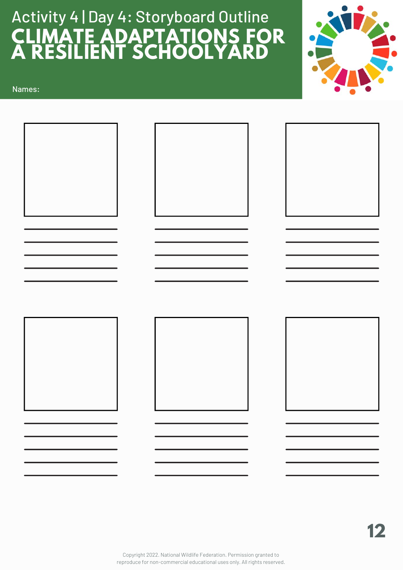# **CLIMATE ADAPTATIONS FOR A RESILIENT SCHOOLYARD** Activity 4 | Day 4: Storyboard Outline



Names:

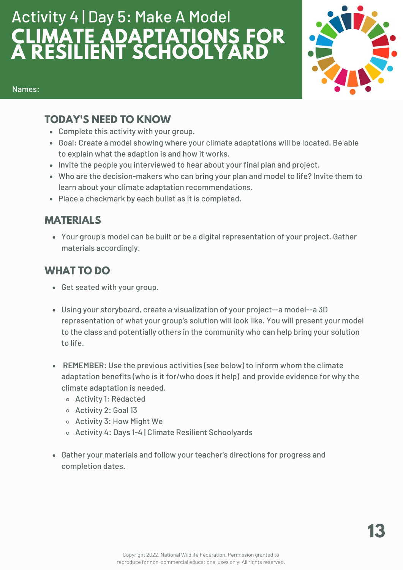# **CLIMATE ADAPTATIONS FOR A RESILIENT SCHOOLYARD** Activity 4 | Day 5: Make A Model



#### Names:

#### **TODAY'S NEED TO KNOW**

- Complete this activity with your group.
- Goal: Create a model showing where your climate adaptations will be located. Be able to explain what the adaption is and how it works.
- Invite the people you interviewed to hear about your final plan and project.
- Who are the decision-makers who can bring your plan and model to life? Invite them to learn about your climate adaptation recommendations.
- Place a checkmark by each bullet as it is completed.

## **MATERIALS**

Your group's model can be built or be a digital representation of your project. Gather materials accordingly.

- Get seated with your group.
- Using your storyboard, create a visualization of your project--a model--a 3D representation of what your group's solution will look like. You will present your model to the class and potentially others in the community who can help bring your solution to life.
- **REMEMBER**: Use the previous activities (see below) to inform whom the climate adaptation benefits (who is it for/who does it help) and provide evidence for why the climate adaptation is needed.
	- Activity 1: Redacted
	- Activity 2: Goal 13
	- Activity 3: How Might We
	- o Activity 4: Days 1-4 | Climate Resilient Schoolyards
- Gather your materials and follow your teacher's directions for progress and completion dates.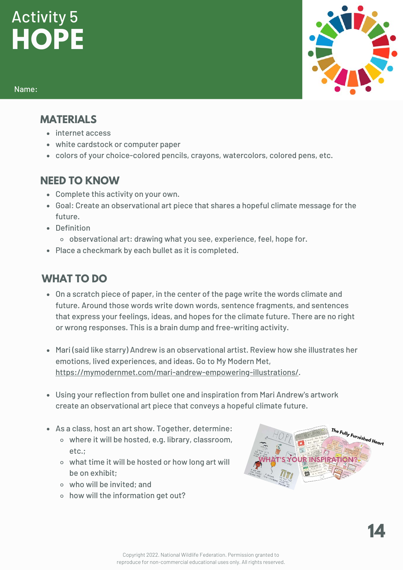# **HOPE** Activity 5

#### Name:

#### **MATERIALS**

- internet access
- white cardstock or computer paper
- colors of your choice-colored pencils, crayons, watercolors, colored pens, etc.

#### **NEED TO KNOW**

- Complete this activity on your own.
- Goal: Create an observational art piece that shares a hopeful climate message for the future.
- Definition
	- observational art: drawing what you see, experience, feel, hope for.
- Place a checkmark by each bullet as it is completed.

- On a scratch piece of paper, in the center of the page write the words climate and future. Around those words write down words, sentence fragments, and sentences that express your feelings, ideas, and hopes for the climate future. There are no right or wrong responses. This is a brain dump and free-writing activity.
- Mari (said like starry) Andrew is an observational artist. Review how she illustrates her emotions, lived experiences, and ideas. Go to My Modern Met, [https://mymodernmet.com/mari-andrew-empowering-illustrations/.](https://mymodernmet.com/mari-andrew-empowering-illustrations/)
- Using your reflection from bullet one and inspiration from Mari Andrew's artwork create an observational art piece that conveys a hopeful climate future.
- As a class, host an art show. Together, determine:
	- where it will be hosted, e.g. library, classroom, etc.;
	- what time it will be hosted or how long art will be on exhibit;
	- who will be invited; and
	- o how will the information get out?